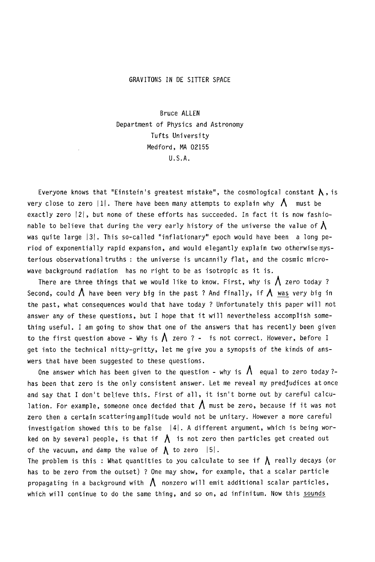## GRAVlTONS IN DE SITTER SPACE

Bruce ALLEN Department of Physics and Astronomy Tufts University Medford, MA 02155 U.S.A.

Everyone knows that "Einstein's greatest mistake", the cosmological constant  $\Lambda$ , is very close to zero  $|1|$ . There have been many attempts to explain why  $\bigwedge$  must be exactly zero |2|, but none of these efforts has succeeded. In fact it is now fashionable to believe that during the very early history of the universe the value of  $\bigwedge$ was quite large |3|. This so-called "inflationary" epoch would have been a long period of exponentially rapid expansion, and would elegantly explain two otherwise mysterious observational truths : the universe is uncannily flat, and the cosmic microwave background radiation has no right to be as isotropic as it is.

There are three things that we would like to know. First, why is  $\bigwedge$  zero today ? Second, could  $\bigwedge$  have been very big in the past ? And finally, if  $\bigwedge$  was very big in the past, what consequences would that have today ? Unfortunately this paper will not answer any of these questions, but I hope that it will nevertheless accomplish something useful. I am going to show that one of the answers that has recently been given to the first question above - Why is  $\Lambda$  zero ? - is not correct. However, before I get into the technical nitty-gritty, let me give you a synopsis of the kinds of answers that have been suggested to these questions.

One answer which has been given to the question - why is  $\Lambda$  equal to zero today ?has been that zero is the only consistent answer. Let me reveal my predJudices at once and say that I don't believe this. First of all, it isn't borne out by careful calculation. For example, someone once decided that  $\bigwedge$  must be zero, because if it was not zero then a certain scatteringamplitude would not be unitary. However a more careful investigation showed this to be false  $|4|$ . A different argument, which is being worked on by several people, is that if  $\Lambda$  is not zero then particles get created out of the vacuum, and damp the value of  $\bigwedge$  to zero  $|5|$ .

The problem is this : What quantities to you calculate to see if  $\bigwedge$  really decays (or has to be zero from the outset) ? One may show, for example, that a scalar particle propagating in a background with  $\Lambda$  nonzero will emit additional scalar particles, which will continue to do the same thing, and so on, ad infinitum. Now this sounds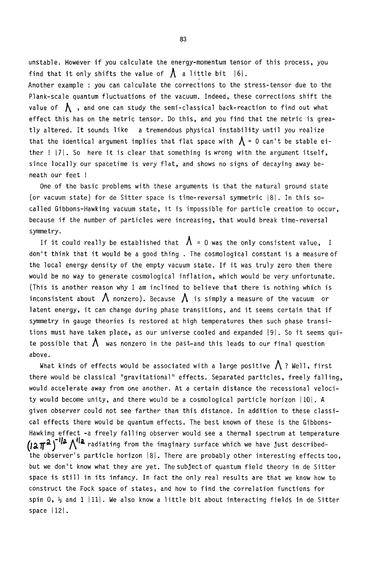unstable. However if you calculate the energy-momentum tensor of this process, you find that it only shifts the value of  $\Lambda$  a little bit  $|6|$ .

Another example : you can calculate the corrections to the stress-tensor due to the Plank-scale quantum fluctuations of the vacuum. Indeed, these corrections shift the value of  $\bigwedge$  , and one can study the semi-classical back-reaction to find out what effect this has on the metric tensor. Do this, and you find that the metric is greatly altered. It sounds like a tremendous physical instability until you realize that the identical argument implies that flat space with  $\Lambda$  = 0 can't be stable either  $! |7|$ . So here it is clear that something is wrong with the argument itself, since locally our spacetime is very flat, and shows no signs of decaying away beneath our feet !

One of the basic problems with these arguments is that the natural ground state (or vacuum state) for de Sitter space is time-reversal symmetric  $|8|$ . In this socalled Gibbons-Hawking vacuum state, it is impossible for particle creation to occur, because if the number of particles were increasing, that would break time-reversal symmetry.

If it could really be established that  $\Lambda$  = 0 was the only consistent value, I don't think that it would be a good thing . The cosmological constant is a measure of the local energy density of the empty vacuum state. If it was truly zero then there would be no way to generate cosmological inflation, which would be very unfortunate. (This is another reason why I am inclined to believe that there is nothing which is inconsistent about  $\,\mathsf\Lambda\,$  nonzero). Because  $\,\mathsf\Lambda\,$  is simply a measure of the vacuum  $\,$  or latent energy, it can change during phase transitions, and it seems certain that if symmetry in gauge theories is restored at high temperatures then such phase transitions must have taken place, as our universe cooled and expanded |9|. So it seems quite possible that  $\bigwedge$  was nonzero in the past-and this leads to our final question above.

What kinds of effects would be associated with a large positive  $\bigwedge$  ? Well, first there would be classical "gravitational" effects. Separated particles, freely falling, would accelerate away from one another. At a certain distance the recessional velocity would become unity, and there would be a cosmological particle horizon  $|10|$ . A given observer could not see farther than this distance. In addition to these classical effects there would be quantum effects. The best known of these is the Gibbons-Hawking effect -a freely falling observer would see a thermal spectrum at temperature  $\left($ Ia $\pi^{\mathcal{X}}\right)$ <sup>'Ia</sup>  $\wedge$ <sup>Ila</sup> radiating from the imaginary surface which we have just described-.<br>the observer's particle horizon |8|. There are probably other interesting effects too, but we don't know what they are yet. The subject of quantum field theory in de Sitter space is still in its infancy. In fact the only real results are that we know how to construct the Fock space of states, and how to find the correlation functions for spin 0,  $\frac{1}{2}$  and 1 | 11|. We also know a little bit about interacting fields in de Sitter space  $|12|$ .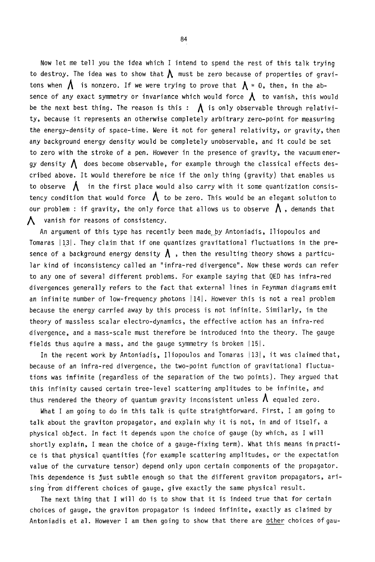Now let me tell you the idea which I intend to spend the rest of this talk trying to destroy. The idea was to show that  $\Lambda$  must be zero because of properties of gravitons when  $\bigwedge$  is nonzero. If we were trying to prove that  $\bigwedge$  = 0, then, in the absence of any exact symmetry or invariance which would force  $\bm{\Lambda}$  to vanish, this would be the next best thing. The reason is this :  $\bigwedge$  is only observable through relativity, because it represents an otherwise completely arbitrary zero-point for measuring the energy-density of space-time. Were it not for general relativity, or gravity, then any background energy density would be completely unobservable, and it could be set to zero with the stroke of a pen. However in the presence of gravity, the vacuum energy density  $\bigwedge$  does become observable, for example through the classical effects described above. It would therefore be nice if the only thing (gravity) that enables us to observe  $\bigwedge$  in the first place would also carry with it some quantization consistency condition that would force  $\Lambda$  to be zero. This would be an elegant solution to our problem : if gravity, the only force that allows us to observe  $\bigwedge$  , demands that  $\Lambda$  vanish for reasons of consistency.

An argument of this type has recently been made by Antoniadis, lliopoulos and Tomaras J13J. They claim that if one quantizes gravitational fluctuations in the presence of a background energy density  $\bm{\Lambda}$  , then the resulting theory shows a particular kind of inconsistency called an "infra-red divergence". Now these words can refer to any one of several different problems. For example saying that QED has infra-red divergences generally refers to the fact that external lines in Feynman diagrams emit an infinite number of low-frequency photons  $|14|$ . However this is not a real problem because the energy carried away by this process is not infinite. Similarly, in the theory of massless scalar electro-dynamics, the effective action has an infra-red divergence, and a mass-scale must therefore be introduced into the theory. The gauge fields thus aquire a mass, and the gauge symmetry is broken  $|15|$ .

In the recent work by Antoniadis, lliopoulos and Tomaras Ii3j, it was claimed that, because of an infra-red divergence, the two-point function of gravitational fluctuations was infinite (regardless of the separation of the two points). They argued that this infinity caused certain tree-level scattering amplitudes to be infinite, and thus rendered the theory of quantum gravity inconsistent unless  $\bm{\Lambda}$  equaled zero.

What I am going to do in this talk is quite straightforward. First, I am going to talk about the graviton propagator, and explain why it is not, in and of itself, a physical object. In fact it depends upon the choice of gauge (by which, as I will shortly explain, I mean the choice of a gauge-fixing term). What this means in practice is that physical quantities (for example scattering amplitudes, or the expectation value of the curvature tensor) depend only upon certain components of the propagator. This dependence is Just subtle enough so that the different graviton propagators, arising from different choices of gauge, give exactly the same physical result.

The next thing that I will do is to show that it is indeed true that for certain choices of gauge, the graviton propagator is indeed infinite, exactly as claimed by Antoniadis et al. However I am then going to show that there are other choices ofgau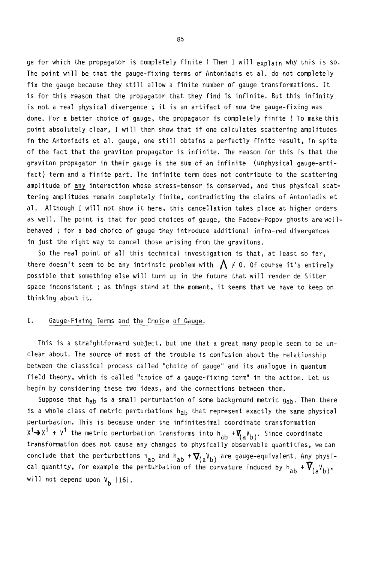ge for which the propagator is completely finite ! Then I will explain why this is so. The point will be that the gauge-fixing terms of Antoniadis et al. do not completely fix the gauge because they still allow a finite number of gauge transformations. It is for this reason that the propagator that they find is infinite. But this infinity is not a real physical divergence ; it is an artifact of how the gauge-fixing was done. For a better choice of gauge, the propagator is completely finite ! To make this point absolutely clear, I will then show that if one calculates scattering amplitudes in the Antoniadis et al. gauge, one still obtains a perfectly finite result, in spite of the fact that the graviton propagator is infinite. The reason for this is that the graviton propagator in their gauge is the sum of an infinite (unphysical gauge-artifact) term and a finite part. The infinite term does not contribute to the scattering amplitude of any interaction whose stress-tensor is conserved, and thus physical scattering amplitudes remain completely finite, contradicting the claims of Antoniadis et al. Although I will not show it here, this cancellation takes place at higher orders as well. The point is that for good choices of gauge, the Fadeev-Popov ghosts are wellbehaved ; for a bad choice of gauge they introduce additional infra-red divergences in Just the right way to cancel those arising from the gravitons.

So the real point of all this technical investigation is that, at least so far, there doesn't seem to be any intrinsic problem with  $\bigwedge$   $\neq$  0. Of course it's entirely possible that something else will turn up in the future that will render de Sitter space inconsistent ; as things stand at the moment, it seems that we have to keep on thinking about it.

## I. Gauge-Fixing Terms and the Choice of Gauge.

This is a straightforward subject, but one that a great many people seem to be unclear about. The source of most of the trouble is confusion about the relationship between the classical process called "choice of gauge" and its analogue in quantum field theory, which is called "choice of a gauge-fixing term" in the action. Let us begin by considering these two ideas, and the connections between them.

Suppose that  $h_{ab}$  is a small perturbation of some background metric  $g_{ab}$ . Then there is a whole class of metric perturbations h<sub>ab</sub> that represent exactly the same physical perturbation. This is because under the infinitesimal coordinate transformation  $X^1 \rightarrow X^1 + V^1$  the metric perturbation transforms into  $h_{ab} + \vec{V}_{(a}V_{b)}$ . Since coordinate transformation does not cause any changes to physically observable quantities, we can conclude that the perturbations h<sub>ab</sub> and h<sub>ab</sub>  ${}+\mathbf{\nabla}_{\ell}$ , are gauge-equivalent. Any physical quantity, for example the perturbation of the curvature induced by h<sub>ab</sub> +  $V_{(\alpha}V_{\beta\lambda)}$ , will not depend upon  $V_b$  |16|.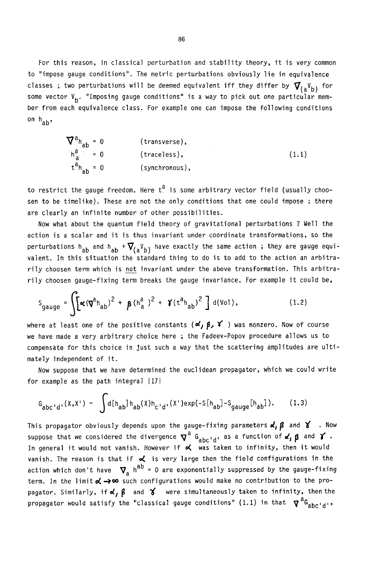For this reason, in classical perturbation and stability theory, it is very common to "impose gauge conditions". The metric perturbations obviously lie in equivalence classes ; two perturbations will be deemed equivalent iff they differ by  $\bm{\nabla}_{(a}\bm{V_{b}})$  for some vector V<sub>b</sub>. "Imposing gauge conditions" is a way to pick out one particular member from each equivalence class. For example one can impose the following conditions on h<sub>ab</sub>,

$$
\nabla^{a} h_{ab} = 0 \t(transverse),
$$
  
\n
$$
h_{a}^{a} = 0 \t(traceless),
$$
  
\n
$$
t^{a} h_{ab} = 0 \t(synchronous),
$$
\n(1.1)

to restrict the gauge freedom. Here  $t^a$  is some arbitrary vector field (usually choosen to be timelike). These are not the only conditions that one could impose ; there are clearly an infinite number of other possibilities.

Now what about the quantum field theory of gravitational perturbations ? Well the action is a scalar and it is thus invariant under coordinate transformations, so the perturbations h<sub>ab</sub> and h<sub>ab</sub> + $\bf{\nabla}_{(a}{}^V{}_{b)}$  have exactly the same action ; they are gauge equivalent. In this situation the standard thing to do is to add to the action an arbitrarily choosen term which is not invariant under the above transformation. This arbitrarily choosen gauge-fixing term breaks the gauge invariance. For example it could be,

$$
S_{gauge} = \int [\alpha (\nabla^{a} h_{ab})^{2} + \beta (h_{a}^{a})^{2} + \gamma (t^{a} h_{ab})^{2}] d(Vol), \qquad (1.2)
$$

where at least one of the positive constants  $(\alpha, \beta, \gamma')$  was nonzero. Now of course we have made a very arbitrary choice here ; the Fadeev-Popov procedure allows us to compensate for this choice in Just such a way that the scattering amplitudes are ultimately independent of it.

Now suppose that we have determined the euclidean propagator, which we could write for example as the path integral  $|17|$ 

$$
G_{abc'd'}(X,X') = \int d[h_{ab}]h_{ab}(X)h_{c'd'}(X')exp(-S[h_{ab}] - S_{gauge}[h_{ab}]).
$$
 (1.3)

This propagator obviously depends upon the gauge-fixing parameters  $d, \beta$  and  $\gamma$  . Now suppose that we considered the divergence  $\bm{\nabla}^{\bm{\alpha}}$  G<sub>abc'd</sub>, as a function of  $\bm{\alpha'}$ ,  $\bm{\beta}$  and  $\bm{\gamma}$  . In general it would not vanish. However if  $\prec$  was taken to infinity, then it would vanish. The reason is that if  $\alpha$  is very large then the field configurations in the action which don't have  $\boldsymbol{\nabla}_{a}$  h<sup>ab</sup> = 0 are exponentially suppressed by the gauge-fixing term. In the limit  $\triangle \rightarrow \infty$  such configurations would make no contribution to the propagator. Similarly, if  $\alpha$ ,  $\beta$  and  $\gamma'$  were simultaneously taken to infinity, then the propagator would satisfy the "classical gauge conditions" (1.1) in that  $\bm{\nabla}^{\bm{a}}\bm{\mathsf{G}}_{\bm{a} \bm{b} \bm{c} + \bm{d} + \bm{s}}$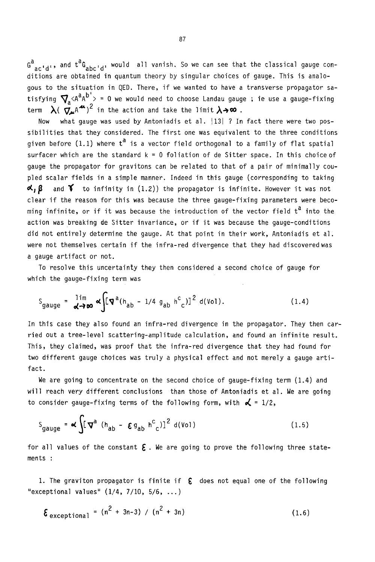$G_{\text{actual}}^{\text{a}}$ , and  $t^{\text{a}}G_{\text{shell}}$ , would all vanish. So we can see that the classical gauge conditions are obtained in quantum theory by singular choices of gauge. This is analogous to the situation in QED. There, if we wanted to have a transverse propagator satisfying  $\sum_{n=1}^{\infty}$  <A<sup>a</sup>A<sup>b'</sup>> = 0 we would need to choose Landau gauge ; ie use a gauge-fixing term  $\lambda(\vec{\nabla}_{\mu}A^{\mu})^2$  in the action and take the limit  $\lambda\rightarrow\infty$ .

Now what gauge was used by Antoniadis et al. | 13| ? In fact there were two possibilities that they considered. The first one was equivalent to the three conditions given before (1.1) where  $t^{\tilde{a}}$  is a vector field orthogonal to a family of flat spatial surfacer which are the standard k = 0 foliation of de Sitter space. In this choice of gauge the propagator for gravitons can be related to that of a pair of minimally coupled scalar fields in a simple manner. Indeed in this gauge (corresponding to taking  $\alpha, \beta$  and  $\gamma$  to infinity in (1.2)) the propagator is infinite. However it was not clear if the reason for this was because the three gauge-fixing parameters were becoming infinite, or if it was because the introduction of the vector field  $\mathsf{t}^\mathsf{d}$  into the action was breaking de Sitter invariance, or if it was because the gauge-conditions did not entirely determine the gauge. At that point in their work, Antoniadis et al, were not themselves certain if the infra-red divergence that they had discovered was a gauge artifact or not.

To resolve this uncertainty they then considered a second choice of gauge for which the gauge-fixing term was

$$
S_{gauge} = \frac{1 \text{Im}}{\text{d} \rightarrow \infty} \alpha \int \left[ \mathbf{\nabla}^a (h_{ab} - 1/4 g_{ab} h^c)^2 \right]^2 d(Vol). \tag{1.4}
$$

In this case they also found an infra-red divergence in the propagator. They then carried out a tree-level scattering-amplitude calculation, and found an infinite result. This, they claimed, was proof that the infra-red divergence that they had found for two different gauge choices was truly a physical effect and not merely a gauge artifact.

We are going to concentrate on the second choice of gauge-fixing term (1.4) and will reach very different conclusions than those of Antoniadis et al. We are going to consider gauge-fixing terms of the following form, with  $\mathbf{d} = 1/2$ ,

$$
S_{gauge} = \mathbf{K} \int [\mathbf{\nabla}^a (h_{ab} - \mathbf{\varepsilon} g_{ab} h^c_{c})]^2 d(v_{01})
$$
 (1.5)

for all values of the constant  $\epsilon$ . We are going to prove the following three statements :

1. The graviton propagator is finite if  $\,\,\epsilon\,\,$  does not equal one of the following "exceptional values"  $(1/4, 7/10, 5/6, ...)$ 

$$
\mathbf{\xi}_{\text{exceptional}} = (n^2 + 3n - 3) / (n^2 + 3n) \tag{1.6}
$$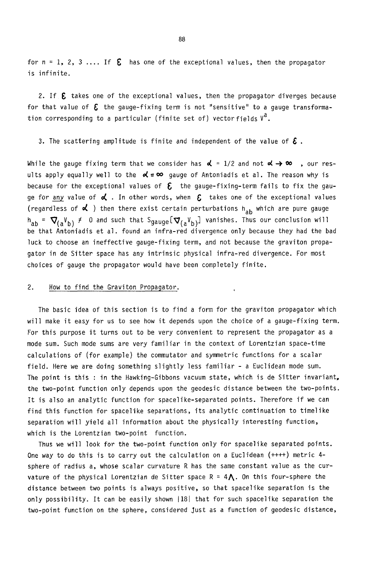for  $n = 1, 2, 3, \ldots$  If  $\epsilon$  has one of the exceptional values, then the propagator is infinite.

2. If  $\epsilon$  takes one of the exceptional values, then the propagator diverges because for that value of  $~\epsilon~$  the gauge-fixing term is not "sensitive" to a gauge transformation corresponding to a particular (finite set of) vector fields  $V^{\hat{a}}$ .

3. The scattering amplitude is finite and independent of the value of  $\boldsymbol{\xi}$ .

While the gauge fixing term that we consider has  $\alpha = 1/2$  and not  $\alpha \rightarrow \infty$  , our results apply equally well to the  $\alpha' = \infty$  gauge of Antoniadis et al. The reason why is because for the exceptional values of  $\epsilon$  the gauge-fixing-term fails to fix the gauge for any value of  $\triangleleft$  . In other words, when  $~\mathcal{E}~$  takes one of the exceptional values (regardless of  $\triangleleft$  ) then there exist certain perturbations h<sub>ab</sub> which are pure gauge  $h_{ab} = \nabla_{(a}V_{b)} \neq 0$  and such that Sgauge  $[\nabla_{(a}V_{b)}]$  vanishes. Thus our conclusion will be that Antoniadis et al. found an infra-red divergence only because they had the bad luck to choose an ineffective gauge-fixing term, and not because the graviton propagator in de Sitter space has any intrinsic physical infra-red divergence. For most choices of gauge the propagator would have been completely finite.

#### 2. How to find the Graviton Propagator.

The basic idea of this section is to find a form for the graviton propagator which will make it easy for us to see how it depends upon the choice of a gauge-fixing term. For this purpose it turns out to be very convenient to represent the propagator as a mode sum. Such mode sums are very familiar in the context of Lorentzian space-time calculations of (for example) the commutator and symmetric functions for a scalar field. Here we are doing something slightly less familiar - a Euclidean mode sum. The point is this : in the Hawking-Gibbons vacuum state, which is de Sitter invariant, the two-point function only depends upon the geodesic distance between the two-points. It is also an analytic function for spacelike-separated points. Therefore if we can find this function for spacelike separations, its analytic continuation to timelike separation will yield all information about the physically interesting function, which is the Lorentzian two-point function.

 $\ddot{\phantom{1}}$ 

Thus we will look for the two-point function only for spacelike separated points. One way to do this is to carry out the calculation on a Euclidean (++++) metric 4 sphere of radius a, whose scalar curvature R has the same constant value as the curvature of the physical Lorentzian de Sitter space  $R = 4\Lambda$ . On this four-sphere the distance between two points is always positive, so that spacelike separation is the only possibility. It can be easily shown 1181 that for such spacelike separation the two-point function on the sphere, considered Just as a function of geodesic distance,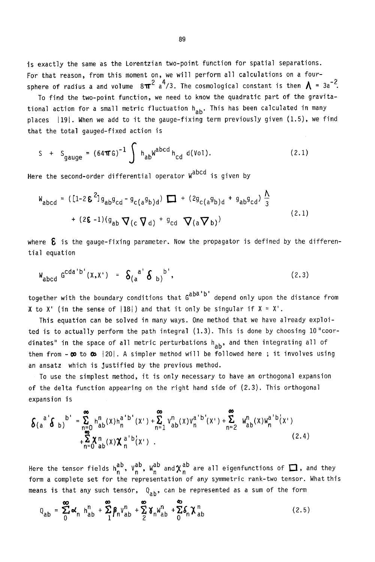is exactly the same as the Lorentzian two-point function for spatial separations. For that reason, from this moment on, we will perform all calculations on a foursphere of radius a and volume  $8\pi^2$  a<sup>4</sup>/3. The cosmological constant is then  $\Lambda$  = 3a<sup>-2</sup>.

To find the two-point function, we need to know the quadratic part of the gravitational action for a small metric fluctuation h<sub>ab</sub>. This has been calculated in many places  $|19|$ . When we add to it the gauge-fixing term previously given  $(1.5)$ , we find that the total gauged-fixed action is

$$
S + S_{gauge} = (64 \pi G)^{-1} \int h_{ab} w^{abcd} h_{cd} d(Vol).
$$
 (2.1)

Here the second-order differential operator W<sup>abcd</sup> is given by

$$
W_{abcd} = ([1-2\epsilon^{2}]g_{ab}g_{cd} - g_{c(a}g_{b)d}) \square + (2g_{c(a}g_{b)d} + g_{ab}g_{cd}) \frac{\Lambda}{3}
$$
  
+  $(2\epsilon - 1)(g_{ab} \nabla(c \nabla d) + g_{cd} \nabla(a \nabla b))$  (2.1)

where  $\epsilon$  is the gauge-fixing parameter. Now the propagator is defined by the differential equation

$$
W_{abcd} G^{cda'b'}(X,X') = \delta_{(a}^{a'} \delta_{b)}^{b'},
$$
 (2.3)

together with the boundary conditions that G<sup>aba'b'</sup> depend only upon the distance from X to X' (in the sense of  $|18|$ ) and that it only be singular if  $X = X^T$ .

This equation can be solved in many ways. One method that we have already exploited is to actually perform the path integral (1.3). This is done by choosing lO"coordinates" in the space of all metric perturbations  $h_{ab}$ , and then integrating all of them from  $\infty$  to  $\infty$  |20|. A simpler method will be followed here; it involves using an ansatz which is Justified by the previous method.

To use the simplest method, it is only necessary to have an orthogonal expansion of the delta function appearing on the right hand side of (2.3). This orthogonal expansion is

$$
\delta(a^{a^{i}}\delta_{b})^{b^{i}} = \sum_{\substack{n=0 \ n \neq 0}}^{8} h_{ab}^{n}(x)h_{n}^{a^{i}b^{i}}(x^{i}) + \sum_{n=1}^{8} v_{ab}^{n}(x)v_{n}^{a^{i}b^{i}}(x^{i}) + \sum_{n=2}^{8} w_{ab}^{n}(x)w_{n}^{a^{i}b^{i}}(x^{i}) + \sum_{n=2}^{8} \chi_{ab}^{n}(x)w_{n}^{a^{i}}(x^{i})
$$
\n(2.4)

Here the tensor fields  $h_n^{ab}$ ,  $V_n^{ab}$ ,  $w_n^{ab}$  and  $\chi_n^{ab}$  are all eigenfunctions of  $\Box$ , and they form a complete set for the representation of any symmetric rank-two tensor. What this means is that any such tensor,  $Q_{\mathsf{ah}}^{\phantom{\dag}},$  can be represented as a sum of the form

$$
Q_{ab} = \sum_{0}^{\infty} \alpha_n h_{ab}^n + \sum_{1}^{\infty} \beta_n v_{ab}^n + \sum_{2}^{\infty} \delta_n w_{ab}^n + \sum_{0}^{\infty} \delta_n \chi_{ab}^n
$$
 (2.5)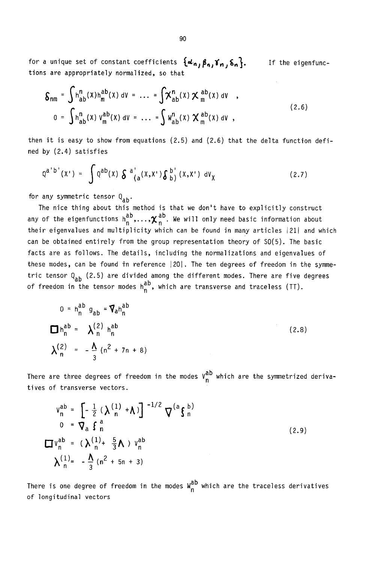for a unique set of constant coefficients  $\{\boldsymbol{\omega}_n,\boldsymbol{\beta}_n,\boldsymbol{\gamma}_n,\boldsymbol{\delta}_n\}.$ tions are appropriately normalized, so that If the eigenfunc-

$$
\mathcal{S}_{nm} = \int h_{ab}^{n}(x)h_{m}^{ab}(x) \, \mathrm{d}v = \dots = \int \chi_{ab}^{n}(x) \, \chi_{m}^{ab}(x) \, \mathrm{d}v ,
$$
\n
$$
0 = \int h_{ab}^{n}(x) \, v_{m}^{ab}(x) \, \mathrm{d}v = \dots = \int \psi_{ab}^{n}(x) \, \chi_{m}^{ab}(x) \, \mathrm{d}v , \tag{2.6}
$$

then it is easy to show from equations (2.5) and (2.6) that the delta function defined by (2.4) satisfies

$$
Q^{a^{\prime}b^{\prime}}(X^{\prime}) = \int Q^{ab}(x) \delta^{a^{\prime}}_{(a}(X,X^{\prime}) \delta^{b^{\prime}}_{b)}(X,X^{\prime}) dV_{\chi}
$$
 (2.7)

for any symmetric tensor  $Q_{ab}$ .

The nice thing about this method is that we don't have to explicitly construct any of the eigenfunctions  $h_n^{ab}, \ldots, \chi_n^{ab}$ . We will only need basic information about their eigenvalues and multiplicity which can be found in many articles 211 and which can be obtained entirely from the group representation theory of S0(5). The basic facts are as follows. The details, including the normalizations and eigenvalues of these modes, can be found in reference  $|20|$ . The ten degrees of freedom in the symmetric tensor  $Q_{ab}$  (2.5) are divided among the different modes. There are five degrees of freedom in the tensor modes  $h_n^{a\,\nu}$ , which are transverse and traceless (TT).

$$
0 = h_n^{ab} g_{ab} = \nabla_a h_n^{ab}
$$
  
\n
$$
\Box h_n^{ab} = \lambda_n^{(2)} h_n^{ab}
$$
  
\n
$$
\lambda_n^{(2)} = -\frac{\Lambda}{3} (n^2 + 7n + 8)
$$
 (2.8)

There are three degrees of freedom in the modes  $\binom{u}{n}$  which are the symmetrized derivatives of transverse vectors.

$$
V_{n}^{ab} = \left[ -\frac{1}{2} \left( \lambda \frac{1}{n} + \lambda \right) \right]^{-1/2} \nabla^{(a} \mathbf{f}_{n}^{b})
$$
  
\n
$$
0 = \nabla_{a} \mathbf{f}_{n}^{a}
$$
  
\n
$$
\Box V_{n}^{ab} = (\lambda \frac{1}{n} + \frac{5}{3} \Lambda) V_{n}^{ab}
$$
  
\n
$$
\lambda \frac{1}{n} = -\frac{\Lambda}{3} (n^{2} + 5n + 3)
$$
 (2.9)

There is one degree of freedom in the modes  $W_n^{(d)}$  which are the traceless derivatives of longitudinal vectors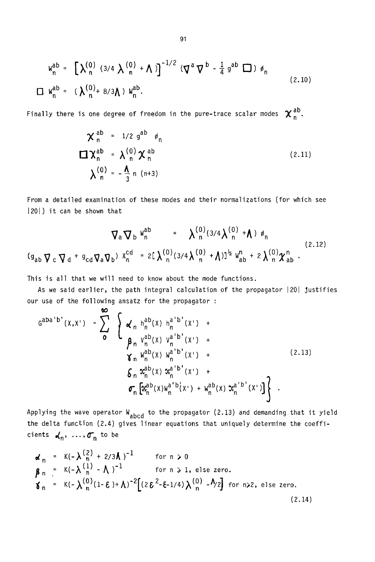$$
W_n^{ab} = \left[ \lambda_n^{(0)} (3/4 \lambda_n^{(0)} + \Lambda) \right]^{-1/2} (\nabla^a \nabla^b - \frac{1}{4} g^{ab} \nabla) \phi_n
$$
  
\n
$$
\Box W_n^{ab} = (\lambda_n^{(0)} + 8/3 \Lambda) W_n^{ab}.
$$
\n(2.10)

Finally there is one degree of freedom in the pure-trace scalar modes  $\chi_n^{ab}$ .

$$
\chi_n^{ab} = 1/2 g^{ab} \phi_n
$$
  

$$
\Box \chi_n^{ab} = \lambda_n^{(0)} \chi_n^{ab}
$$
  

$$
\lambda_n^{(0)} = -\frac{\Lambda}{3} n (n+3)
$$
 (2.11)

From a detailed examination of these modes and their normalizations (for which see 1201) it can be shown that

$$
\nabla_{a} \nabla_{b} W_{n}^{ab} = \lambda_{n}^{(0)} (3/4 \lambda_{n}^{(0)} + \Lambda) \phi_{n}
$$
\n
$$
(9_{ab} \nabla_{c} \nabla_{d} + 9_{cd} \nabla_{a} \nabla_{b}) X_{n}^{cd} = 2[\lambda_{n}^{(0)} (3/4 \lambda_{n}^{(0)} + \Lambda)]^{\frac{1}{2}} W_{ab}^{n} + 2 \lambda_{n}^{(0)} \chi_{ab}^{n} .
$$
\n(2.12)

This is all that we will need to know about the mode functions.

As we said earlier, the path integral calculation of the propagator  $|20|$  justifies our use of the following ansatz for the propagator :

$$
G^{aba'b'}(X,X') = \sum_{o}^{\infty} \left\{ \begin{array}{ll} \chi_n h_n^{ab}(x) h_n^{a'b'}(x') + \\ \beta_n v_n^{ab}(x) v_n^{a'b'}(x') + \\ \chi_n w_n^{ab}(x) w_n^{a'b'}(x') + \\ \delta_n x_n^{ab}(x) x_n^{a'b'}(x') + \\ \sigma_n \left[ x_n^{ab}(x) w_n^{a'b'}(x') + w_n^{ab}(x) x_n^{a'b'}(x') \right] \right\} . \end{array} \right.
$$
 (2.13)

Applying the wave operator  $W_{abcd}$  to the propagator (2.13) and demanding that it yield the delta function (2.4) gives linear equations that uniquely determine the coefficients  $\boldsymbol{\checkmark}_n, ..., \boldsymbol{\check{\sigma}}_n$  to be

$$
\mathbf{a}_{n} = K(-\lambda \frac{2}{n} + 2/3\lambda)^{-1} \quad \text{for } n \ge 0
$$
\n
$$
\mathbf{a}_{n} = K(-\lambda \frac{1}{n} - \lambda)^{-1} \quad \text{for } n \ge 1, \text{ else zero.}
$$
\n
$$
\mathbf{a}_{n} = K(-\lambda \frac{1}{n} - \lambda)^{-2} \left[ (2 \epsilon^{2} - \epsilon - 1/4) \lambda \frac{1}{n} - \lambda/2 \right] \quad \text{for } n \ge 2, \text{ else zero.}
$$
\n(2.14)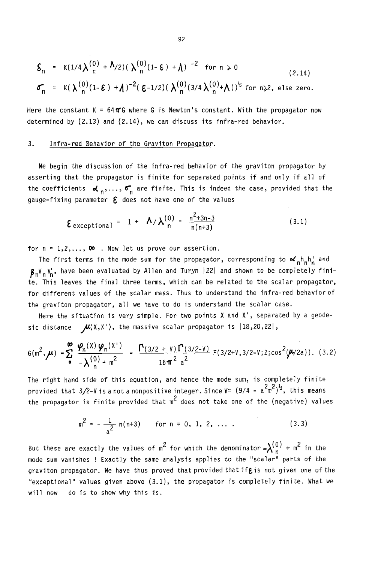$$
\delta_n = K(1/4\lambda_n^{(0)} + \lambda/2) (\lambda_n^{(0)}(1-\epsilon) + \lambda)^{-2} \text{ for } n \ge 0
$$
\n(2.14)\n
$$
\sigma_n = K(\lambda_n^{(0)}(1-\epsilon) + \lambda)^{-2} (\epsilon^{-1/2}) (\lambda_n^{(0)}(3/4\lambda_n^{(0)} + \lambda))^{\frac{1}{2}} \text{ for } n \ge 2, \text{ else zero.}
$$

Here the constant K =  $64\pi$ G where G is Newton's constant. With the propagator now determined by (2.13) and (2.14), we can discuss its infra-red behavior.

# 3. Infra-red Behavior of the Graviton Propagator.

We begin the discussion of the infra-red behavior of the graviton propagator by asserting that the propagator is finite for separated points if and only if all of the coefficients  $\boldsymbol{\alpha}_n, \ldots, \boldsymbol{\sigma}_n$  are finite. This is indeed the case, provided that the gauge-fixing parameter  $\boldsymbol{\epsilon}$  does not have one of the values

$$
\mathbf{\mathcal{E}}\,\text{exceptional} = 1 + \mathbf{\Lambda}/\mathbf{\lambda}_{n}^{(0)} = \frac{n^2 + 3n - 3}{n(n+3)}
$$
 (3.1)

for  $n = 1, 2, \ldots$ ,  $\infty$  . Now let us prove our assertion.

The first terms in the mode sum for the propagator, corresponding to  $\alpha_n h_n h_n'$  and  $\beta_{n}V_{n}V_{n}^{'}$ , have been evaluated by Allen and Turyn |22| and shown to be completely finite. This leaves the final three terms, which can be related to the scalar propagator, for different values of the scalar mass. Thus to understand the infra-red behavior of the graviton propagator, all we have to do is understand the scalar case.

Here the situation is very simple. For two points X and X', separated by a geodesic distance  $\mathcal{M}(X,X')$ , the massive scalar propagator is  $|18,20,22|$ ,

$$
G(m^{2}, \mu) = \sum_{\phi}^{\infty} \frac{\varphi_{n}(x) \varphi_{n}(x^{2})}{-\lambda \binom{0}{n} + m^{2}} = \frac{\Gamma(3/2 + \nu) \Gamma(3/2 - \nu)}{16 \pi^{2} a^{2}} F(3/2 + \nu, 3/2 - \nu; 2; \cos^{2}(\mu/2a)).
$$
 (3.2)

The right hand side of this equation, and hence the mode sum, is completely finite provided that 3/2-V is a not a nonpositive integer. Since V= (9/4 - a $\mathsf{\small\textsf{cm}}^{\small\textsf{>}}$ )  $\mathsf{\small\textsf{?}}$ , this means the propagator is finite provided that m' does not take one of the (negative) values

$$
m^2 = -\frac{1}{a^2} n(n+3)
$$
 for  $n = 0, 1, 2, ...$  (3.3)

But these are exactly the values of  $m^2$  for which the denominator  $-\lambda\binom{0}{n}$  +  $m^2$  in the mode sum vanishes ! Exactly the same analysis applies to the "scalar" parts of the graviton propagator. We have thus proved that provided that if $\epsilon$  is not given one of the "exceptional" values given above (3.1), the propagator is completely finite. What we will now do is to show why this is.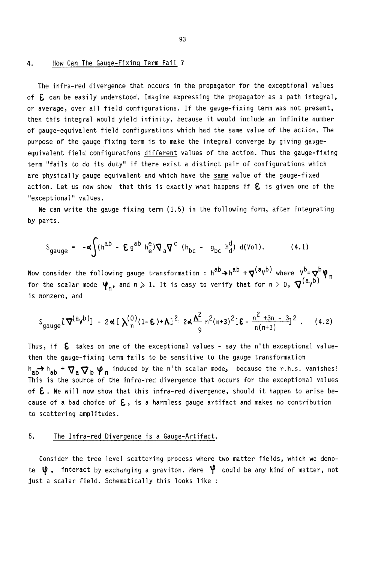#### 4. How Can The Gauge-Fixing Term Fail ?

The infra-red divergence that occurs in the propagator for the exceptional values of  $E$  can be easily understood. Imagine expressing the propagator as a path integral, or average, over all field configurations. If the gauge-fixing term was not present, then this integral would yield infinity, because it would include an infinite number of gauge-equivalent field configurations which had the same value of the action. The purpose of the gauge fixing term is to make the integral converge by giving gaugeequivalent field configurations different values of the action. Thus the gauge-fixing term "fails to do its duty" if there exist a distinct pair of configurations which are physically gauge equivalent and which have the same value of the gauge-fixed action. Let us now show that this is exactly what happens if  $E$  is given one of the "exceptional" values.

We can write the gauge fixing term (1.5) in the following form, after integrating by parts.

$$
S_{gauge} = -\alpha \int (h^{ab} - \mathbf{E} g^{ab} h_e^e) \nabla_a \nabla^c (h_{bc} - g_{bc} h_d^d) d(v_{01}). \tag{4.1}
$$

Now consider the following gauge transformation :  $h^{ab} \rightarrow h^{ab} + \nabla^{(a} v^{b)}$  where  $v^{b} = \nabla^{b} \Psi$ for the scalar mode  $\Psi_n$ , and n  $\geqslant$  1. It is easy to verify that for n  $>$  0,  $\nabla^{(a}v^{b)}$ is nonzero, and

$$
S_{gauge}[\nabla^{(a}V^{b)}] = 2 \alpha [\lambda_n^{(0)}(1-\epsilon) + \Lambda]^2 = 2 \alpha \frac{\Lambda^2}{9} n^2 (n+3)^2 [\epsilon - \frac{n^2 + 3n - 3}{n(n+3)}]^2.
$$
 (4.2)

Thus, if  $\epsilon$  takes on one of the exceptional values - say the n'th exceptional valuethen the gauge-fixing term fails to be sensitive to the gauge transformation  $h_{ab}$ <sup>+</sup>  $h_{ab}$  +  $\nabla$ <sub>a</sub> $\nabla$ <sub>b</sub>  $\varphi$ <sub>n</sub> induced by the n'th scalar mode, because the r.h.s. vanishes! This is the source of the infra-red divergence that occurs for the exceptional values of  $\epsilon$ . We will now show that this infra-red divergence, should it happen to arise because of a bad choice of  $\epsilon$ , is a harmless gauge artifact and makes no contribution to scattering amplitudes.

## 5. The Infra-red Divergence is a Gauge-Artifact.

Consider the tree level scattering process where two matter fields, which we denote  $\psi$  , interact by exchanging a graviton. Here  $\psi$  could be any kind of matter, not Just a scalar field. Schematically this looks like :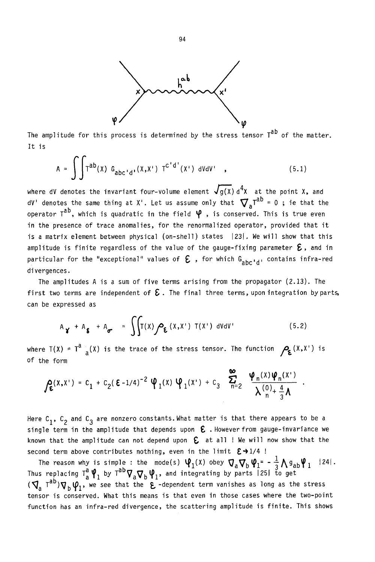

The amplitude for this process is determined by the stress tensor  $T^{ab}$  of the matter. It is

$$
A = \int \int T^{ab}(x) G_{abc'd'}(x,x') T^{c'd'}(x') dVdV', \qquad (5.1)
$$

where dV denotes the invariant four-volume element  $\blacktriangledown g(X)$  d $\blacktriangledown$  at the point X, and dV' denotes the same thing at X'. Let us assume only that  $\sum_{i=1}^{\infty} T_i = 0$  ; ie that the operator  $T^{ab}$ , which is quadratic in the field  $\varphi$  , is conserved. This is true even in the presence of trace anomalies, for the renormalized operator, provided that it is a matrix element between physical (on-shell) states 1231. We will show that this amplitude is finite regardless of the value of the gauge-fixing parameter  $\bm{\mathcal{E}}$  , and in particular for the "exceptional" values of  $\epsilon$  , for which G<sub>abc'd'</sub> contains infra-red divergences.

The amplitudes A is a sum of five terms arising from the propagator (2.13). The first two terms are independent of  ${\bm \mathcal E}$  . The final three terms, upon integration by parts, can be expressed as

$$
A_{\gamma} + A_{\delta} + A_{\sigma} = \iint T(x) \rho_{\epsilon}(x, x') T(x') dV dV'
$$
 (5.2)

where  $T(X) = T^a \frac{1}{a}(X)$  is the trace of the stress tensor. The function  $P_{\epsilon}(X,X')$  is of the form

$$
\int_{\mathbf{E}} (x, x^*) = c_1 + c_2 (\mathbf{E} - 1/4)^{-2} \Psi_1(x) \Psi_1(x^*) + c_3 \sum_{n=2}^{\infty} \frac{\Psi_n(x) \Psi_n(x^*)}{\lambda \frac{(0)}{n} + \frac{4}{3} \lambda}
$$

Here  $C_1$ ,  $C_2$  and  $C_3$  are nonzero constants. What matter is that there appears to be a single term in the amplitude that depends upon  $~\epsilon$  . However from gauge-invariance we known that the amplitude can not depend upon  $\epsilon$  at all ! We will now show that the second term above contributes nothing, even in the limit  $\varepsilon \rightarrow 1/4$  !

The reason why is simple : the mode(s)  $\Psi_1(x)$  obey  $\nabla_a \nabla_b \Psi_1 = -\frac{1}{2} \Lambda g_{ab} \Psi_1$  [24]. Thus replacing Ta  $\Psi$ , by Taby  $\nabla_{\rm s}\nabla_{\rm b}\Psi_{\rm 1}$ , and integrating by parts 1251 to get  $(\nabla_a T^{a\nu})\nabla_b \psi_1$ , we see that the  $\epsilon$  -dependent term vanishes as long as the stress tensor is conserved. What this means is that even in those cases where the two-point function has an infra-red divergence, the scattering amplitude is finite. This shows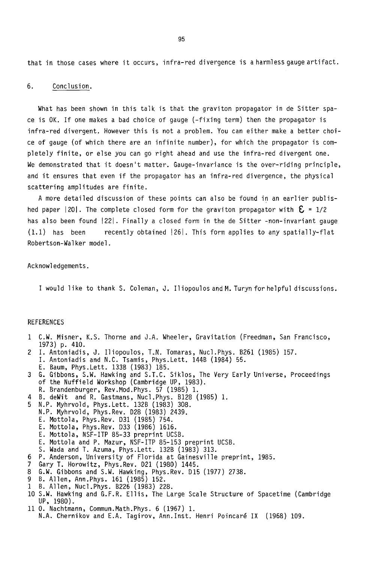that in those cases where it occurs, infra-red divergence is a harmless gauge artifact.

#### 6. Conclusion.

What has been shown in this talk is that the graviton propagator in de Sitter space is OK. If one makes a bad choice of gauge (-fixing term) then the propagator is infra-red divergent. However this is not a problem. You can either make a better choice of gauge (of which there are an infinite number), for which the propagator is completely finite, or else you can go right ahead and use the infra-red divergent one. We demonstrated that it doesn't matter. Gauge-invariance is the over-riding principle, and it ensures that even if the propagator has an infra-red divergence, the physical scattering amplitudes are finite.

A more detailed discussion of these points can also be found in an earlier published paper 201. The complete closed form for the graviton propagator with  $\mathbf{\mathsf{E}}$  = 1/2 has also been found | 22|. Finally a closed form in the de Sitter -non-invariant gauge  $(1.1)$  has been recently obtained  $|26|$ . This form applies to any spatially-flat Robertson-Walker model.

#### Acknowledgements.

I would like to thank S. Coleman, J. lliopoulosandM. Turynforhelpful discussions.

### REFERENCES

- 1 C.W. Misner, K.S. Thorne and J.A. Wheeler, Gravitation (Freedman, San Francisco, 1973) p. 410.
- 2 I. Antoniadis, J. lliopoulos, T.N. Tomaras, Nucl.Phys. B261 (1985) 157. I. Antoniadis and N.C. Tsamis, Phys. Lett. 144B (1984) 55.
- E. Baum, Phys. Lett. 133B (1983) 185.
- 3 G. Gibbons, S.W. Hawking and S.T.C. Siklos, The Very Early Universe, Proceedings of the Nuffield Workshop (Cambridge UP, 1983).
	- R. Brandenburger, Rev.Mod.Phys. 57 (1985) 1.
- 4 B. deWit and R. Gastmans, Nucl.Phys. B128 (1985) 1.
- 5 N.P. Myhrvold, Phys. Lett. 132B (1983) 308.
	- N.P. Myhrvold, Phys. Rev. D28 (1983) 2439.
		- E. Mottola, Phys. Rev. D31 (1985) 754.
		- E. Mottola, Phys. Rev. D33 (1986) 1616.
		- E. Mottola, NSF-ITP 85-33 preprint UCSB.
	- E. Mottola and P. Mazur, NSF-ITP 85-153 preprint UCSB.
- S. Wada and T. Azuma, Phys. Lett. 132B (1983) 313.
- P. Anderson, University of Florida at Gainesville preprint, 1985. 6.
- Gary T. Horowitz, Phys.Rev. D21 (1980) 1445.
- G.W. Gibbons and S.W. Hawking, Phys. Rev. D15 (1977) 2738.
- B. Allen, Ann.Phys. 161 (1985) 152.
- B. Allen, Nucl.Phys. B226 (1983) 228.
- 10 S.W. Hawking and G.F.R. Ellis, The Large Scale Structure of Spacetime (Cambridge UP, 1980).
- 110. Nachtmann, Commun.Math.Phys. 6 (1967) 1.
- N.A. Chernikov and E.A. Tagirov, Ann.Inst. Henri Poincaré IX (1968) 109.